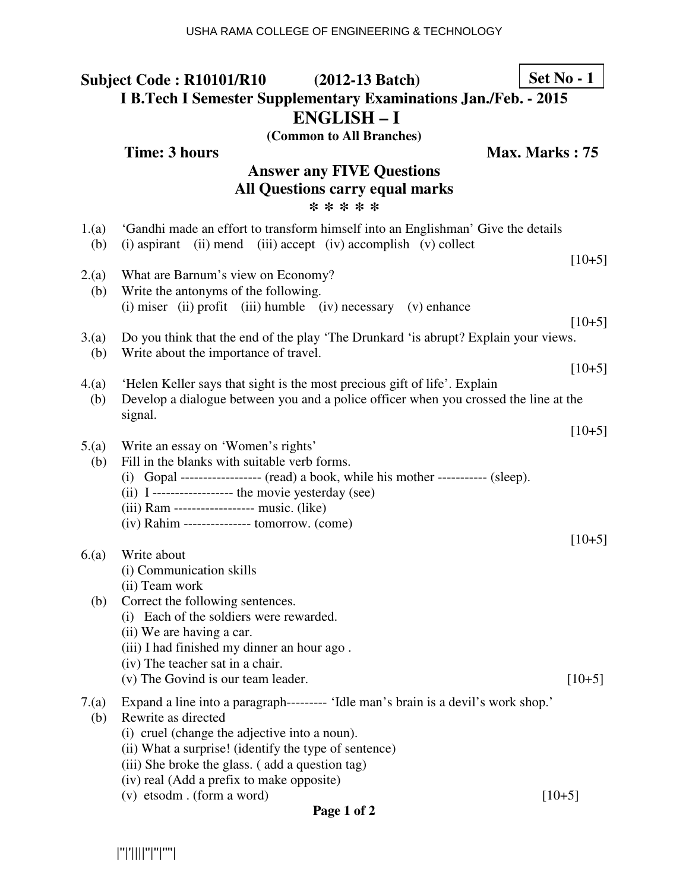**Time: 3 hours Max. Marks : 75** 

# **Answer any FIVE Questions All Questions carry equal marks \* \* \* \* \***

| 1.(a)<br>(b) | 'Gandhi made an effort to transform himself into an Englishman' Give the details<br>(ii) mend (iii) accept (iv) accomplish (v) collect<br>$(i)$ aspirant          | $[10+5]$ |
|--------------|-------------------------------------------------------------------------------------------------------------------------------------------------------------------|----------|
| 2.(a)<br>(b) | What are Barnum's view on Economy?<br>Write the antonyms of the following.                                                                                        |          |
|              | $(i)$ miser $(ii)$ profit $(iii)$ humble $(iv)$ necessary $(v)$ enhance                                                                                           | $[10+5]$ |
| 3(a)         | Do you think that the end of the play 'The Drunkard 'is abrupt? Explain your views.                                                                               |          |
| (b)          | Write about the importance of travel.                                                                                                                             | $[10+5]$ |
| 4(a)<br>(b)  | 'Helen Keller says that sight is the most precious gift of life'. Explain<br>Develop a dialogue between you and a police officer when you crossed the line at the |          |
|              | signal.                                                                                                                                                           | $[10+5]$ |
| 5.(a)        | Write an essay on 'Women's rights'                                                                                                                                |          |
| (b)          | Fill in the blanks with suitable verb forms.                                                                                                                      |          |
|              | (i) Gopal ------------------- (read) a book, while his mother ----------- (sleep).<br>(ii) I------------------- the movie yesterday (see)                         |          |
|              | (iii) Ram ------------------ music. (like)                                                                                                                        |          |
|              | $(iv)$ Rahim --------------- tomorrow. $(come)$                                                                                                                   |          |
|              |                                                                                                                                                                   | $[10+5]$ |
| 6(a)         | Write about                                                                                                                                                       |          |
|              | (i) Communication skills<br>(ii) Team work                                                                                                                        |          |
| (b)          | Correct the following sentences.                                                                                                                                  |          |
|              | (i) Each of the soldiers were rewarded.                                                                                                                           |          |
|              | (ii) We are having a car.                                                                                                                                         |          |
|              | (iii) I had finished my dinner an hour ago.                                                                                                                       |          |
|              | (iv) The teacher sat in a chair.                                                                                                                                  |          |
|              | (v) The Govind is our team leader.                                                                                                                                | $[10+5]$ |
| 7.(a)        | Expand a line into a paragraph--------- 'Idle man's brain is a devil's work shop.'                                                                                |          |
| (b)          | Rewrite as directed                                                                                                                                               |          |
|              | (i) cruel (change the adjective into a noun).                                                                                                                     |          |
|              | (ii) What a surprise! (identify the type of sentence)                                                                                                             |          |
|              | (iii) She broke the glass. (add a question tag)                                                                                                                   |          |
|              | (iv) real (Add a prefix to make opposite)<br>(v) etsodm. (form a word)                                                                                            | $[10+5]$ |
|              | Page 1 of 2                                                                                                                                                       |          |

|''|'||||''|''|''''|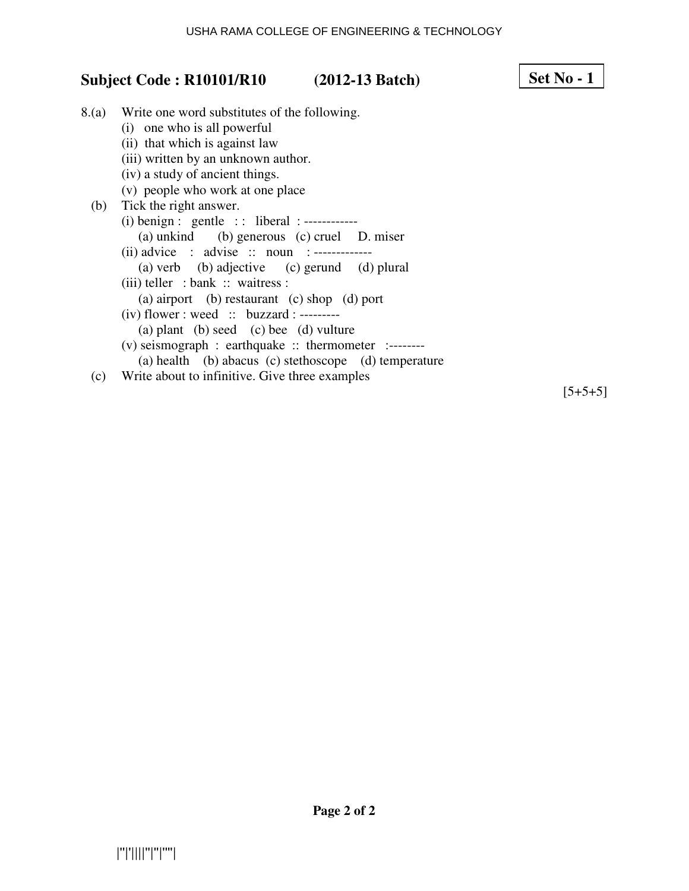### USHA RAMA COLLEGE OF ENGINEERING & TECHNOLOGY

# **Subject Code : R10101/R10 (2012-13 Batch)**

| Set No - |
|----------|
|----------|

8.(a) Write one word substitutes of the following. (i) one who is all powerful (ii) that which is against law (iii) written by an unknown author. (iv) a study of ancient things. (v) people who work at one place (b) Tick the right answer. (i) benign : gentle : : liberal : ------------ (a) unkind (b) generous (c) cruel D. miser (ii) advice : advise :: noun :------------- (a) verb (b) adjective (c) gerund (d) plural (iii) teller : bank :: waitress : (a) airport (b) restaurant (c) shop (d) port  $(iv)$  flower : weed  $::$  buzzard : --------- (a) plant (b) seed (c) bee (d) vulture (v) seismograph : earthquake :: thermometer :--------

(a) health (b) abacus (c) stethoscope (d) temperature

(c) Write about to infinitive. Give three examples

 $[5+5+5]$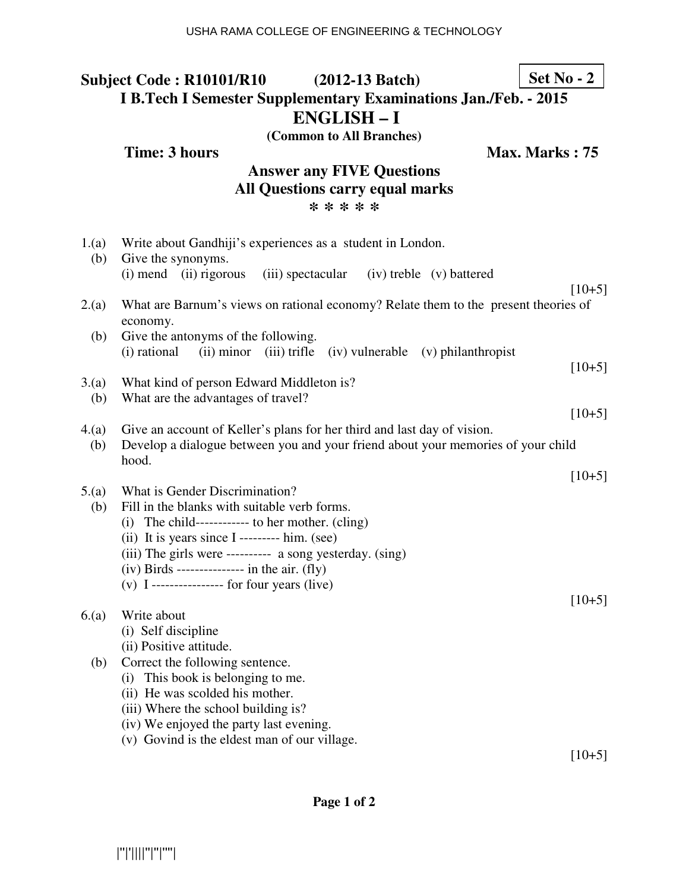**Time: 3 hours Max. Marks : 75** 

# **Answer any FIVE Questions All Questions carry equal marks \* \* \* \* \***

| 1.(a)<br>(b) | Write about Gandhiji's experiences as a student in London.<br>Give the synonyms.                                                                                                                                                                                                                                                                       |          |
|--------------|--------------------------------------------------------------------------------------------------------------------------------------------------------------------------------------------------------------------------------------------------------------------------------------------------------------------------------------------------------|----------|
|              | $(i)$ mend $(ii)$ rigorous<br>(iii) spectacular<br>(iv) treble (v) battered                                                                                                                                                                                                                                                                            |          |
| 2.(a)        | What are Barnum's views on rational economy? Relate them to the present theories of<br>economy.                                                                                                                                                                                                                                                        | $[10+5]$ |
| (b)          | Give the antonyms of the following.<br>(i) rational<br>(ii) minor<br>(iii) trifle<br>(iv) vulnerable (v) philanthropist                                                                                                                                                                                                                                | $[10+5]$ |
| 3(a)<br>(b)  | What kind of person Edward Middleton is?<br>What are the advantages of travel?                                                                                                                                                                                                                                                                         |          |
|              |                                                                                                                                                                                                                                                                                                                                                        | $[10+5]$ |
| 4(a)<br>(b)  | Give an account of Keller's plans for her third and last day of vision.<br>Develop a dialogue between you and your friend about your memories of your child<br>hood.                                                                                                                                                                                   |          |
|              |                                                                                                                                                                                                                                                                                                                                                        | $[10+5]$ |
| 5.(a)<br>(b) | What is Gender Discrimination?<br>Fill in the blanks with suitable verb forms.<br>(i) The child------------ to her mother. (cling)<br>(ii) It is years since $I$ --------- him. (see)<br>(iii) The girls were ---------- a song yesterday. (sing)<br>$(iv)$ Birds -------------- in the air. $(fly)$<br>$(v)$ I ---------------- for four years (live) |          |
|              |                                                                                                                                                                                                                                                                                                                                                        | $[10+5]$ |
| 6(a)         | Write about<br>(i) Self discipline<br>(ii) Positive attitude.                                                                                                                                                                                                                                                                                          |          |
| (b)          | Correct the following sentence.                                                                                                                                                                                                                                                                                                                        |          |
|              | (i) This book is belonging to me.                                                                                                                                                                                                                                                                                                                      |          |
|              | (ii) He was scolded his mother.<br>(iii) Where the school building is?                                                                                                                                                                                                                                                                                 |          |
|              | (iv) We enjoyed the party last evening.                                                                                                                                                                                                                                                                                                                |          |
|              | (v) Govind is the eldest man of our village.                                                                                                                                                                                                                                                                                                           |          |
|              |                                                                                                                                                                                                                                                                                                                                                        | $[10+5]$ |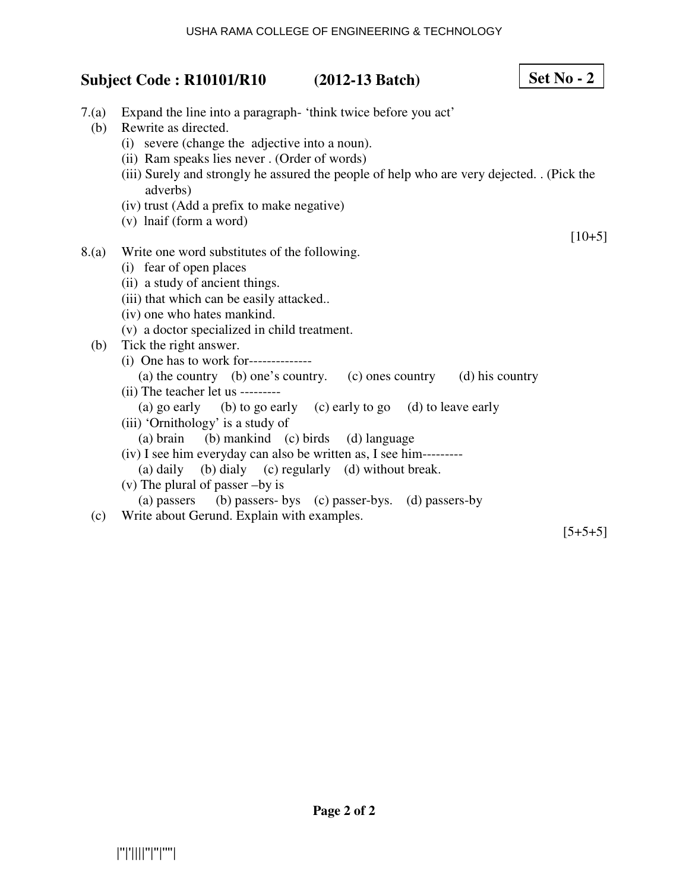| Subject Code: R10101/R10 (2012-13 Batch) |                                                                                                                                                                                                                                                                                                                                                                                                                      | Set $No - 2$ |
|------------------------------------------|----------------------------------------------------------------------------------------------------------------------------------------------------------------------------------------------------------------------------------------------------------------------------------------------------------------------------------------------------------------------------------------------------------------------|--------------|
| 7.(a)<br>(b)                             | Expand the line into a paragraph - 'think twice before you act'<br>Rewrite as directed.<br>(i) severe (change the adjective into a noun).<br>(ii) Ram speaks lies never . (Order of words)<br>(iii) Surely and strongly he assured the people of help who are very dejected. . (Pick the<br>adverbs)<br>(iv) trust (Add a prefix to make negative)<br>(v) lnaif (form a word)                                        |              |
|                                          |                                                                                                                                                                                                                                                                                                                                                                                                                      | $[10+5]$     |
| 8.(a)<br>(b)                             | Write one word substitutes of the following.<br>(i) fear of open places<br>(ii) a study of ancient things.<br>(iii) that which can be easily attacked<br>(iv) one who hates mankind.<br>(v) a doctor specialized in child treatment.<br>Tick the right answer.<br>(i) One has to work for---------------<br>(a) the country (b) one's country. (c) ones country (d) his country<br>(ii) The teacher let us --------- |              |
|                                          | (a) go early (b) to go early (c) early to go (d) to leave early<br>(iii) 'Ornithology' is a study of<br>(a) brain (b) mankind (c) birds (d) language<br>(iv) I see him everyday can also be written as, I see him---------<br>(a) daily (b) dialy (c) regularly (d) without break.<br>$(v)$ The plural of passer -by is<br>(a) passers (b) passers- bys (c) passer-bys. (d) passers-by                               |              |
| (c)                                      | Write about Gerund. Explain with examples.                                                                                                                                                                                                                                                                                                                                                                           | $[5+5+5]$    |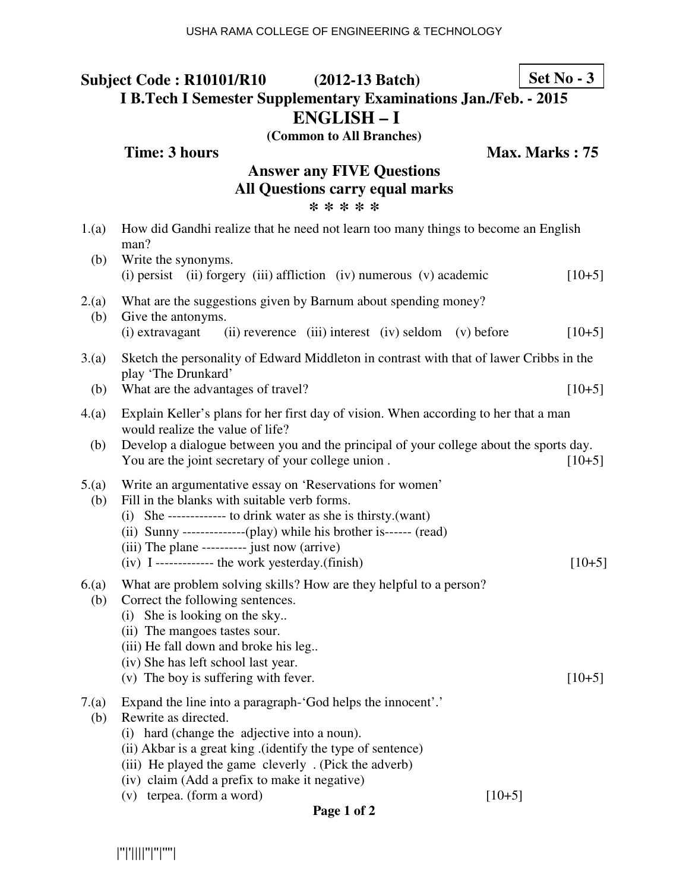**Time: 3 hours Max. Marks : 75** 

# **Answer any FIVE Questions All Questions carry equal marks \* \* \* \* \***

| How did Gandhi realize that he need not learn too many things to become an English                                                                                                                                                                                                                                                                     |                                                                                                                                                                                                                                                                                                                                                                     |
|--------------------------------------------------------------------------------------------------------------------------------------------------------------------------------------------------------------------------------------------------------------------------------------------------------------------------------------------------------|---------------------------------------------------------------------------------------------------------------------------------------------------------------------------------------------------------------------------------------------------------------------------------------------------------------------------------------------------------------------|
| Write the synonyms.<br>(i) persist (ii) forgery (iii) affliction (iv) numerous (v) academic                                                                                                                                                                                                                                                            | $[10+5]$                                                                                                                                                                                                                                                                                                                                                            |
| What are the suggestions given by Barnum about spending money?<br>Give the antonyms.                                                                                                                                                                                                                                                                   |                                                                                                                                                                                                                                                                                                                                                                     |
|                                                                                                                                                                                                                                                                                                                                                        | $[10+5]$                                                                                                                                                                                                                                                                                                                                                            |
| play 'The Drunkard'                                                                                                                                                                                                                                                                                                                                    |                                                                                                                                                                                                                                                                                                                                                                     |
|                                                                                                                                                                                                                                                                                                                                                        | $[10+5]$                                                                                                                                                                                                                                                                                                                                                            |
| Explain Keller's plans for her first day of vision. When according to her that a man<br>4(a)<br>would realize the value of life?                                                                                                                                                                                                                       |                                                                                                                                                                                                                                                                                                                                                                     |
| You are the joint secretary of your college union.                                                                                                                                                                                                                                                                                                     | $[10+5]$                                                                                                                                                                                                                                                                                                                                                            |
| Write an argumentative essay on 'Reservations for women'<br>Fill in the blanks with suitable verb forms.<br>(ii) Sunny ---------------(play) while his brother is------ (read)<br>(iii) The plane ---------- just now (arrive)                                                                                                                         | $[10+5]$                                                                                                                                                                                                                                                                                                                                                            |
| What are problem solving skills? How are they helpful to a person?<br>Correct the following sentences.<br>(i) She is looking on the sky<br>(ii) The mangoes tastes sour.<br>(iii) He fall down and broke his leg<br>(iv) She has left school last year.<br>(v) The boy is suffering with fever.                                                        | $[10+5]$                                                                                                                                                                                                                                                                                                                                                            |
| Expand the line into a paragraph-'God helps the innocent'.'<br>Rewrite as directed.<br>(i) hard (change the adjective into a noun).<br>(ii) Akbar is a great king . (identify the type of sentence)<br>(iii) He played the game cleverly . (Pick the adverb)<br>(iv) claim (Add a prefix to make it negative)<br>(v) terpea. (form a word)<br>$[10+5]$ |                                                                                                                                                                                                                                                                                                                                                                     |
|                                                                                                                                                                                                                                                                                                                                                        | man?<br>(i) extravagant<br>(ii) reverence (iii) interest (iv) seldom (v) before<br>Sketch the personality of Edward Middleton in contrast with that of lawer Cribbs in the<br>What are the advantages of travel?<br>Develop a dialogue between you and the principal of your college about the sports day.<br>$(iv)$ I ------------- the work yesterday. $(finish)$ |

**Page 1 of 2** 

|''|'||||''|''|''''|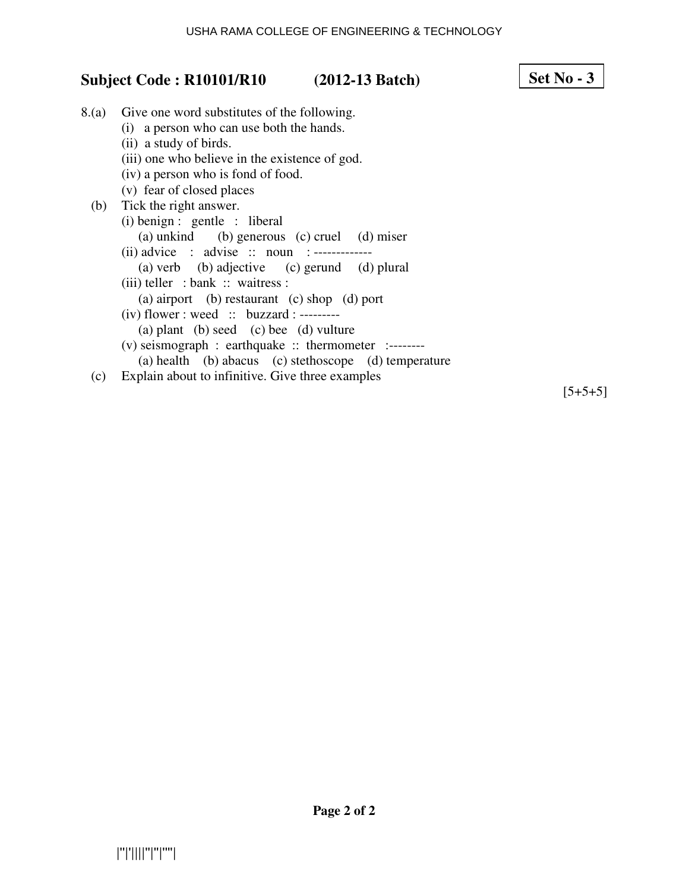# **Subject Code : R10101/R10 (2012-13 Batch)**

| 8.(a) | Give one word substitutes of the following.            |
|-------|--------------------------------------------------------|
|       | (i) a person who can use both the hands.               |
|       | (ii) a study of birds.                                 |
|       | (iii) one who believe in the existence of god.         |
|       | (iv) a person who is fond of food.                     |
|       | (v) fear of closed places                              |
| (b)   | Tick the right answer.                                 |
|       | $(i)$ benign : gentle : liberal                        |
|       | (a) unkind (b) generous (c) cruel (d) miser            |
|       | (ii) advice : advise :: noun :-------------            |
|       | (a) verb (b) adjective (c) gerund (d) plural           |
|       | $(iii)$ teller : bank :: waitress :                    |
|       | (a) airport (b) restaurant (c) shop (d) port           |
|       | $(iv)$ flower : weed :: buzzard : --------             |
|       | (a) plant (b) seed (c) bee (d) vulture                 |
|       | $(v)$ seismograph : earthquake :: thermometer :------- |
|       | (a) health (b) abacus (c) stethoscope (d) temperature  |
|       |                                                        |

(c) Explain about to infinitive. Give three examples

 $[5+5+5]$ 

**Set No - 3**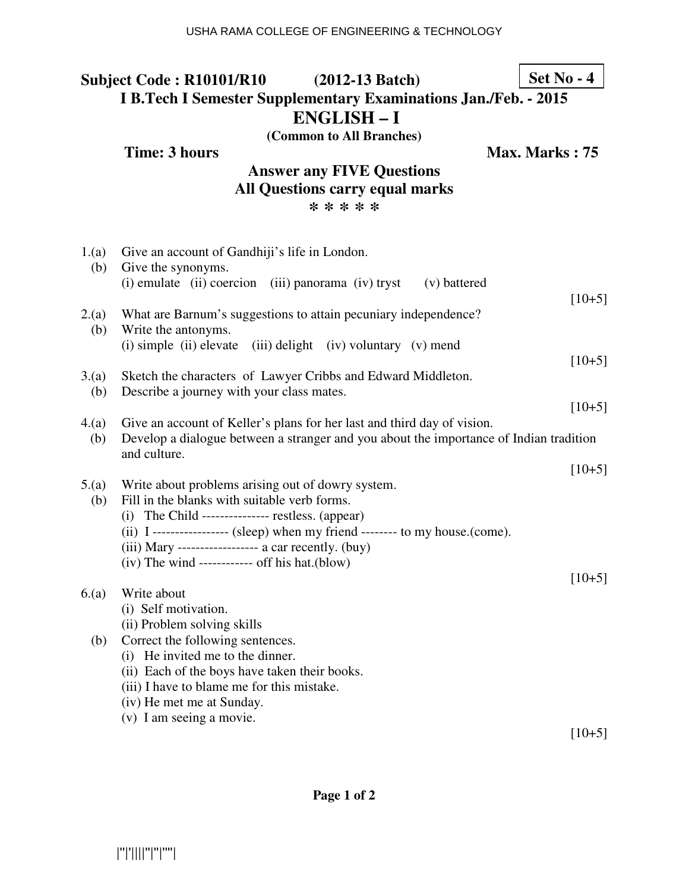**Time: 3 hours Max. Marks : 75** 

# **Answer any FIVE Questions All Questions carry equal marks \* \* \* \* \***

| 1.(a)<br>(b) | Give an account of Gandhiji's life in London.<br>Give the synonyms.                                                                                                               |          |
|--------------|-----------------------------------------------------------------------------------------------------------------------------------------------------------------------------------|----------|
|              | (i) emulate (ii) coercion (iii) panorama (iv) tryst<br>(v) battered                                                                                                               | $[10+5]$ |
| 2.(a)<br>(b) | What are Barnum's suggestions to attain pecuniary independence?<br>Write the antonyms.                                                                                            |          |
|              | (i) simple (ii) elevate<br>(iii) delight (iv) voluntary (v) mend                                                                                                                  | $[10+5]$ |
| 3(a)<br>(b)  | Sketch the characters of Lawyer Cribbs and Edward Middleton.<br>Describe a journey with your class mates.                                                                         |          |
|              |                                                                                                                                                                                   | $[10+5]$ |
| 4(a)<br>(b)  | Give an account of Keller's plans for her last and third day of vision.<br>Develop a dialogue between a stranger and you about the importance of Indian tradition<br>and culture. |          |
|              |                                                                                                                                                                                   | $[10+5]$ |
| 5.(a)<br>(b) | Write about problems arising out of dowry system.<br>Fill in the blanks with suitable verb forms.                                                                                 |          |
|              | $(i)$ The Child -------------- restless. (appear)                                                                                                                                 |          |
|              | (ii) I ----------------- (sleep) when my friend -------- to my house.(come).                                                                                                      |          |
|              | $(iii)$ Mary ----------------- a car recently. $(buy)$                                                                                                                            |          |
|              | $(iv)$ The wind ----------- off his hat. $(blow)$                                                                                                                                 | $[10+5]$ |
| 6(a)         | Write about                                                                                                                                                                       |          |
|              | (i) Self motivation.                                                                                                                                                              |          |
|              | (ii) Problem solving skills                                                                                                                                                       |          |
| (b)          | Correct the following sentences.                                                                                                                                                  |          |
|              | (i) He invited me to the dinner.                                                                                                                                                  |          |
|              | (ii) Each of the boys have taken their books.                                                                                                                                     |          |
|              | (iii) I have to blame me for this mistake.                                                                                                                                        |          |
|              | (iv) He met me at Sunday.                                                                                                                                                         |          |
|              | (v) I am seeing a movie.                                                                                                                                                          |          |
|              |                                                                                                                                                                                   | $[10+5]$ |